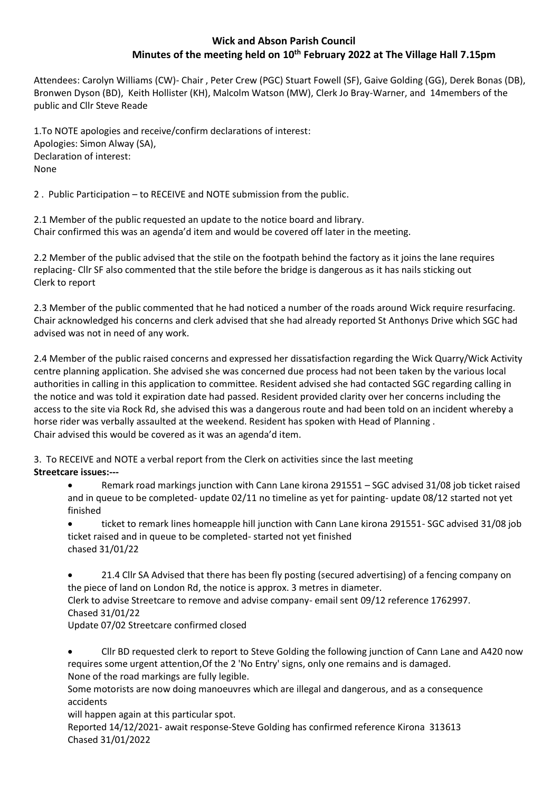# **Wick and Abson Parish Council Minutes of the meeting held on 10 th February 2022 at The Village Hall 7.15pm**

Attendees: Carolyn Williams (CW)- Chair , Peter Crew (PGC) Stuart Fowell (SF), Gaive Golding (GG), Derek Bonas (DB), Bronwen Dyson (BD), Keith Hollister (KH), Malcolm Watson (MW), Clerk Jo Bray-Warner, and 14members of the public and Cllr Steve Reade

1.To NOTE apologies and receive/confirm declarations of interest: Apologies: Simon Alway (SA), Declaration of interest: None

2 . Public Participation – to RECEIVE and NOTE submission from the public.

2.1 Member of the public requested an update to the notice board and library. Chair confirmed this was an agenda'd item and would be covered off later in the meeting.

2.2 Member of the public advised that the stile on the footpath behind the factory as it joins the lane requires replacing- Cllr SF also commented that the stile before the bridge is dangerous as it has nails sticking out Clerk to report

2.3 Member of the public commented that he had noticed a number of the roads around Wick require resurfacing. Chair acknowledged his concerns and clerk advised that she had already reported St Anthonys Drive which SGC had advised was not in need of any work.

2.4 Member of the public raised concerns and expressed her dissatisfaction regarding the Wick Quarry/Wick Activity centre planning application. She advised she was concerned due process had not been taken by the various local authorities in calling in this application to committee. Resident advised she had contacted SGC regarding calling in the notice and was told it expiration date had passed. Resident provided clarity over her concerns including the access to the site via Rock Rd, she advised this was a dangerous route and had been told on an incident whereby a horse rider was verbally assaulted at the weekend. Resident has spoken with Head of Planning . Chair advised this would be covered as it was an agenda'd item.

3. To RECEIVE and NOTE a verbal report from the Clerk on activities since the last meeting **Streetcare issues:---**

• Remark road markings junction with Cann Lane kirona 291551 – SGC advised 31/08 job ticket raised and in queue to be completed- update 02/11 no timeline as yet for painting- update 08/12 started not yet finished

• ticket to remark lines homeapple hill junction with Cann Lane kirona 291551- SGC advised 31/08 job ticket raised and in queue to be completed- started not yet finished chased 31/01/22

• 21.4 Cllr SA Advised that there has been fly posting (secured advertising) of a fencing company on the piece of land on London Rd, the notice is approx. 3 metres in diameter.

Clerk to advise Streetcare to remove and advise company- email sent 09/12 reference 1762997. Chased 31/01/22

Update 07/02 Streetcare confirmed closed

• Cllr BD requested clerk to report to Steve Golding the following junction of Cann Lane and A420 now requires some urgent attention,Of the 2 'No Entry' signs, only one remains and is damaged. None of the road markings are fully legible.

Some motorists are now doing manoeuvres which are illegal and dangerous, and as a consequence accidents

will happen again at this particular spot.

Reported 14/12/2021- await response-Steve Golding has confirmed reference Kirona 313613 Chased 31/01/2022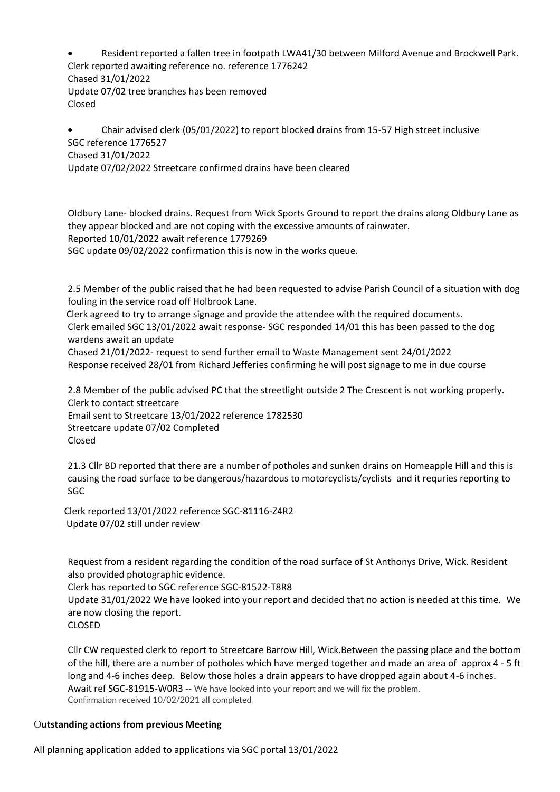• Resident reported a fallen tree in footpath LWA41/30 between Milford Avenue and Brockwell Park. Clerk reported awaiting reference no. reference 1776242 Chased 31/01/2022 Update 07/02 tree branches has been removed Closed

• Chair advised clerk (05/01/2022) to report blocked drains from 15-57 High street inclusive SGC reference 1776527 Chased 31/01/2022 Update 07/02/2022 Streetcare confirmed drains have been cleared

Oldbury Lane- blocked drains. Request from Wick Sports Ground to report the drains along Oldbury Lane as they appear blocked and are not coping with the excessive amounts of rainwater. Reported 10/01/2022 await reference 1779269 SGC update 09/02/2022 confirmation this is now in the works queue.

2.5 Member of the public raised that he had been requested to advise Parish Council of a situation with dog fouling in the service road off Holbrook Lane.

 Clerk agreed to try to arrange signage and provide the attendee with the required documents. Clerk emailed SGC 13/01/2022 await response- SGC responded 14/01 this has been passed to the dog wardens await an update

Chased 21/01/2022- request to send further email to Waste Management sent 24/01/2022 Response received 28/01 from Richard Jefferies confirming he will post signage to me in due course

2.8 Member of the public advised PC that the streetlight outside 2 The Crescent is not working properly. Clerk to contact streetcare

Email sent to Streetcare 13/01/2022 reference 1782530 Streetcare update 07/02 Completed Closed

21.3 Cllr BD reported that there are a number of potholes and sunken drains on Homeapple Hill and this is causing the road surface to be dangerous/hazardous to motorcyclists/cyclists and it requries reporting to SGC

 Clerk reported 13/01/2022 reference SGC-81116-Z4R2  Update 07/02 still under review

Request from a resident regarding the condition of the road surface of St Anthonys Drive, Wick. Resident also provided photographic evidence.

Clerk has reported to SGC reference SGC-81522-T8R8 

Update 31/01/2022 We have looked into your report and decided that no action is needed at this time. We are now closing the report.

CLOSED

Cllr CW requested clerk to report to Streetcare Barrow Hill, Wick.Between the passing place and the bottom of the hill, there are a number of potholes which have merged together and made an area of approx 4 - 5 ft long and 4-6 inches deep. Below those holes a drain appears to have dropped again about 4-6 inches. Await ref SGC-81915-W0R3 -- We have looked into your report and we will fix the problem. Confirmation received 10/02/2021 all completed

### O**utstanding actions from previous Meeting**

All planning application added to applications via SGC portal 13/01/2022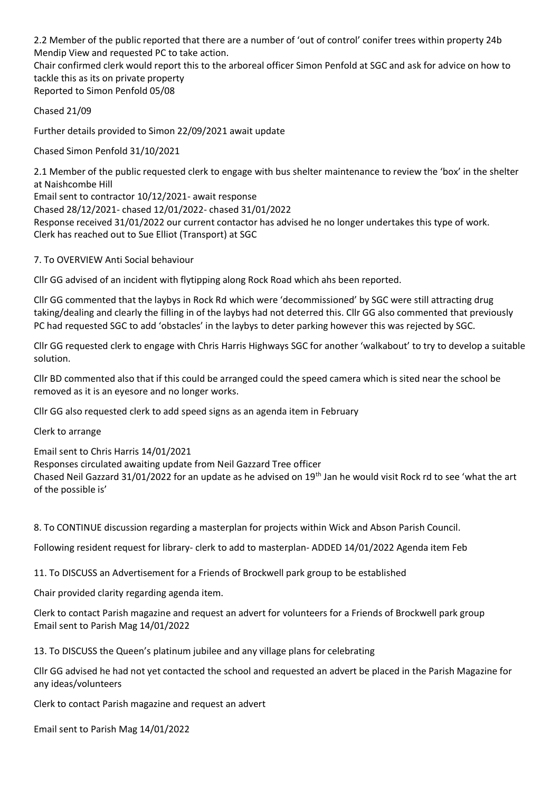2.2 Member of the public reported that there are a number of 'out of control' conifer trees within property 24b Mendip View and requested PC to take action.

Chair confirmed clerk would report this to the arboreal officer Simon Penfold at SGC and ask for advice on how to tackle this as its on private property

Reported to Simon Penfold 05/08

Chased 21/09

Further details provided to Simon 22/09/2021 await update

Chased Simon Penfold 31/10/2021

2.1 Member of the public requested clerk to engage with bus shelter maintenance to review the 'box' in the shelter at Naishcombe Hill

Email sent to contractor 10/12/2021- await response Chased 28/12/2021- chased 12/01/2022- chased 31/01/2022 Response received 31/01/2022 our current contactor has advised he no longer undertakes this type of work. Clerk has reached out to Sue Elliot (Transport) at SGC

7. To OVERVIEW Anti Social behaviour

Cllr GG advised of an incident with flytipping along Rock Road which ahs been reported.

Cllr GG commented that the laybys in Rock Rd which were 'decommissioned' by SGC were still attracting drug taking/dealing and clearly the filling in of the laybys had not deterred this. Cllr GG also commented that previously PC had requested SGC to add 'obstacles' in the laybys to deter parking however this was rejected by SGC.

Cllr GG requested clerk to engage with Chris Harris Highways SGC for another 'walkabout' to try to develop a suitable solution.

Cllr BD commented also that if this could be arranged could the speed camera which is sited near the school be removed as it is an eyesore and no longer works.

Cllr GG also requested clerk to add speed signs as an agenda item in February

Clerk to arrange

Email sent to Chris Harris 14/01/2021 Responses circulated awaiting update from Neil Gazzard Tree officer Chased Neil Gazzard 31/01/2022 for an update as he advised on 19th Jan he would visit Rock rd to see 'what the art of the possible is'

8. To CONTINUE discussion regarding a masterplan for projects within Wick and Abson Parish Council.

Following resident request for library- clerk to add to masterplan- ADDED 14/01/2022 Agenda item Feb

11. To DISCUSS an Advertisement for a Friends of Brockwell park group to be established

Chair provided clarity regarding agenda item.

Clerk to contact Parish magazine and request an advert for volunteers for a Friends of Brockwell park group Email sent to Parish Mag 14/01/2022

13. To DISCUSS the Queen's platinum jubilee and any village plans for celebrating

Cllr GG advised he had not yet contacted the school and requested an advert be placed in the Parish Magazine for any ideas/volunteers

Clerk to contact Parish magazine and request an advert

Email sent to Parish Mag 14/01/2022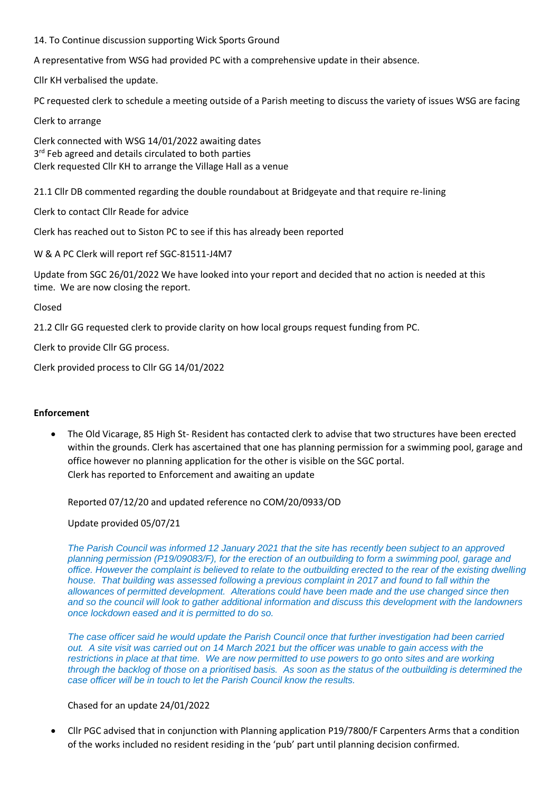# 14. To Continue discussion supporting Wick Sports Ground

A representative from WSG had provided PC with a comprehensive update in their absence.

Cllr KH verbalised the update.

PC requested clerk to schedule a meeting outside of a Parish meeting to discuss the variety of issues WSG are facing

Clerk to arrange

Clerk connected with WSG 14/01/2022 awaiting dates 3<sup>rd</sup> Feb agreed and details circulated to both parties Clerk requested Cllr KH to arrange the Village Hall as a venue

21.1 Cllr DB commented regarding the double roundabout at Bridgeyate and that require re-lining

Clerk to contact Cllr Reade for advice

Clerk has reached out to Siston PC to see if this has already been reported

W & A PC Clerk will report ref SGC-81511-J4M7

Update from SGC 26/01/2022 We have looked into your report and decided that no action is needed at this time. We are now closing the report.

## Closed

21.2 Cllr GG requested clerk to provide clarity on how local groups request funding from PC.

Clerk to provide Cllr GG process.

Clerk provided process to Cllr GG 14/01/2022

### **Enforcement**

• The Old Vicarage, 85 High St- Resident has contacted clerk to advise that two structures have been erected within the grounds. Clerk has ascertained that one has planning permission for a swimming pool, garage and office however no planning application for the other is visible on the SGC portal. Clerk has reported to Enforcement and awaiting an update

Reported 07/12/20 and updated reference no COM/20/0933/OD

Update provided 05/07/21

*The Parish Council was informed 12 January 2021 that the site has recently been subject to an approved planning permission (P19/09083/F), for the erection of an outbuilding to form a swimming pool, garage and office. However the complaint is believed to relate to the outbuilding erected to the rear of the existing dwelling house. That building was assessed following a previous complaint in 2017 and found to fall within the allowances of permitted development. Alterations could have been made and the use changed since then and so the council will look to gather additional information and discuss this development with the landowners once lockdown eased and it is permitted to do so.*

*The case officer said he would update the Parish Council once that further investigation had been carried out. A site visit was carried out on 14 March 2021 but the officer was unable to gain access with the restrictions in place at that time. We are now permitted to use powers to go onto sites and are working through the backlog of those on a prioritised basis. As soon as the status of the outbuilding is determined the case officer will be in touch to let the Parish Council know the results.*

### Chased for an update 24/01/2022

• Cllr PGC advised that in conjunction with Planning application P19/7800/F Carpenters Arms that a condition of the works included no resident residing in the 'pub' part until planning decision confirmed.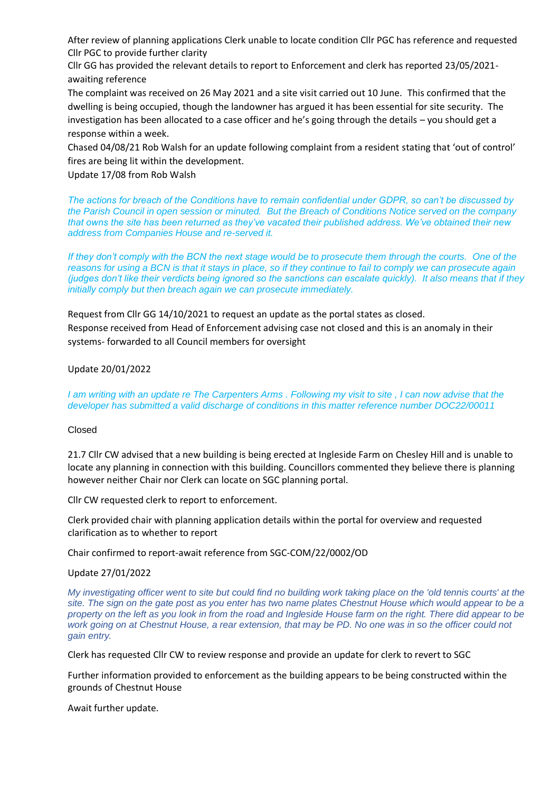After review of planning applications Clerk unable to locate condition Cllr PGC has reference and requested Cllr PGC to provide further clarity

Cllr GG has provided the relevant details to report to Enforcement and clerk has reported 23/05/2021 awaiting reference

The complaint was received on 26 May 2021 and a site visit carried out 10 June. This confirmed that the dwelling is being occupied, though the landowner has argued it has been essential for site security. The investigation has been allocated to a case officer and he's going through the details – you should get a response within a week.

Chased 04/08/21 Rob Walsh for an update following complaint from a resident stating that 'out of control' fires are being lit within the development.

Update 17/08 from Rob Walsh

*The actions for breach of the Conditions have to remain confidential under GDPR, so can't be discussed by the Parish Council in open session or minuted. But the Breach of Conditions Notice served on the company that owns the site has been returned as they've vacated their published address. We've obtained their new address from Companies House and re-served it.*

*If they don't comply with the BCN the next stage would be to prosecute them through the courts. One of the reasons for using a BCN is that it stays in place, so if they continue to fail to comply we can prosecute again (judges don't like their verdicts being ignored so the sanctions can escalate quickly). It also means that if they initially comply but then breach again we can prosecute immediately.*

Request from Cllr GG 14/10/2021 to request an update as the portal states as closed.

Response received from Head of Enforcement advising case not closed and this is an anomaly in their systems- forwarded to all Council members for oversight

Update 20/01/2022

*I am writing with an update re The Carpenters Arms . Following my visit to site , I can now advise that the developer has submitted a valid discharge of conditions in this matter reference number DOC22/00011*

#### Closed

21.7 Cllr CW advised that a new building is being erected at Ingleside Farm on Chesley Hill and is unable to locate any planning in connection with this building. Councillors commented they believe there is planning however neither Chair nor Clerk can locate on SGC planning portal.

Cllr CW requested clerk to report to enforcement.

Clerk provided chair with planning application details within the portal for overview and requested clarification as to whether to report

Chair confirmed to report-await reference from SGC-COM/22/0002/OD

Update 27/01/2022

*My investigating officer went to site but could find no building work taking place on the 'old tennis courts' at the site. The sign on the gate post as you enter has two name plates Chestnut House which would appear to be a property on the left as you look in from the road and Ingleside House farm on the right. There did appear to be work going on at Chestnut House, a rear extension, that may be PD. No one was in so the officer could not gain entry.*

Clerk has requested Cllr CW to review response and provide an update for clerk to revert to SGC

Further information provided to enforcement as the building appears to be being constructed within the grounds of Chestnut House

Await further update.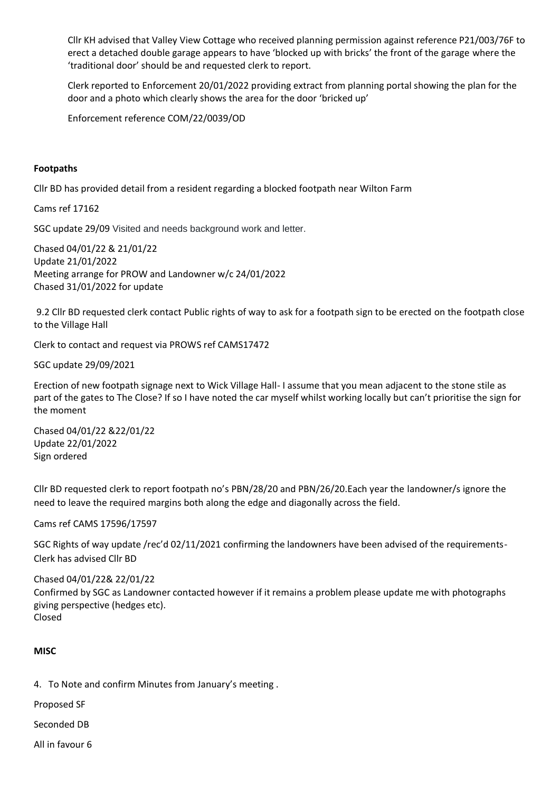Cllr KH advised that Valley View Cottage who received planning permission against reference P21/003/76F to erect a detached double garage appears to have 'blocked up with bricks' the front of the garage where the 'traditional door' should be and requested clerk to report.

Clerk reported to Enforcement 20/01/2022 providing extract from planning portal showing the plan for the door and a photo which clearly shows the area for the door 'bricked up'

Enforcement reference COM/22/0039/OD

## **Footpaths**

Cllr BD has provided detail from a resident regarding a blocked footpath near Wilton Farm

Cams ref 17162

SGC update 29/09 Visited and needs background work and letter.

Chased 04/01/22 & 21/01/22 Update 21/01/2022 Meeting arrange for PROW and Landowner w/c 24/01/2022 Chased 31/01/2022 for update

9.2 Cllr BD requested clerk contact Public rights of way to ask for a footpath sign to be erected on the footpath close to the Village Hall

Clerk to contact and request via PROWS ref CAMS17472

SGC update 29/09/2021

Erection of new footpath signage next to Wick Village Hall- I assume that you mean adjacent to the stone stile as part of the gates to The Close? If so I have noted the car myself whilst working locally but can't prioritise the sign for the moment

Chased 04/01/22 &22/01/22 Update 22/01/2022 Sign ordered

Cllr BD requested clerk to report footpath no's PBN/28/20 and PBN/26/20.Each year the landowner/s ignore the need to leave the required margins both along the edge and diagonally across the field.

Cams ref CAMS 17596/17597

SGC Rights of way update /rec'd 02/11/2021 confirming the landowners have been advised of the requirements-Clerk has advised Cllr BD

Chased 04/01/22& 22/01/22 Confirmed by SGC as Landowner contacted however if it remains a problem please update me with photographs giving perspective (hedges etc). Closed

### **MISC**

4. To Note and confirm Minutes from January's meeting .

Proposed SF

Seconded DB

All in favour 6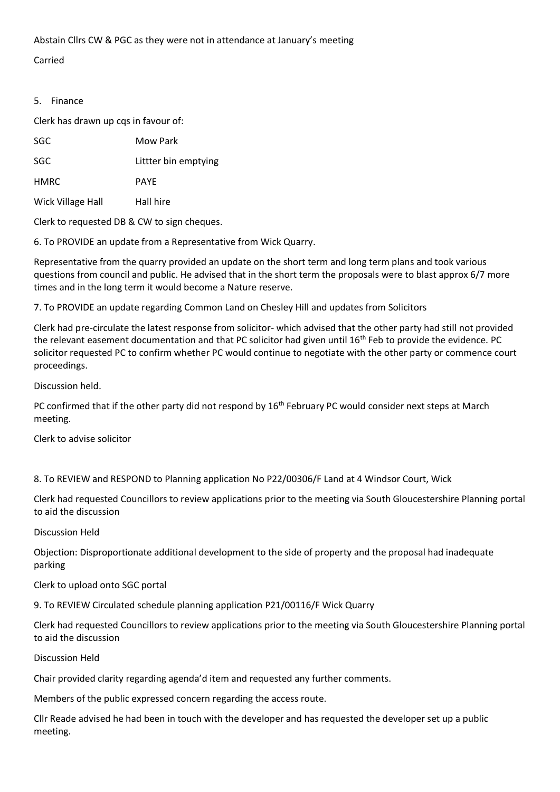Abstain Cllrs CW & PGC as they were not in attendance at January's meeting

Carried

# 5. Finance

Clerk has drawn up cqs in favour of:

SGC Littler bin emptying

HMRC PAYE

Wick Village Hall Hall hire

Clerk to requested DB & CW to sign cheques.

6. To PROVIDE an update from a Representative from Wick Quarry.

Representative from the quarry provided an update on the short term and long term plans and took various questions from council and public. He advised that in the short term the proposals were to blast approx 6/7 more times and in the long term it would become a Nature reserve.

7. To PROVIDE an update regarding Common Land on Chesley Hill and updates from Solicitors

Clerk had pre-circulate the latest response from solicitor- which advised that the other party had still not provided the relevant easement documentation and that PC solicitor had given until  $16<sup>th</sup>$  Feb to provide the evidence. PC solicitor requested PC to confirm whether PC would continue to negotiate with the other party or commence court proceedings.

Discussion held.

PC confirmed that if the other party did not respond by 16<sup>th</sup> February PC would consider next steps at March meeting.

Clerk to advise solicitor

8. To REVIEW and RESPOND to Planning application No P22/00306/F Land at 4 Windsor Court, Wick

Clerk had requested Councillors to review applications prior to the meeting via South Gloucestershire Planning portal to aid the discussion

Discussion Held

Objection: Disproportionate additional development to the side of property and the proposal had inadequate parking

Clerk to upload onto SGC portal

9. To REVIEW Circulated schedule planning application P21/00116/F Wick Quarry

Clerk had requested Councillors to review applications prior to the meeting via South Gloucestershire Planning portal to aid the discussion

Discussion Held

Chair provided clarity regarding agenda'd item and requested any further comments.

Members of the public expressed concern regarding the access route.

Cllr Reade advised he had been in touch with the developer and has requested the developer set up a public meeting.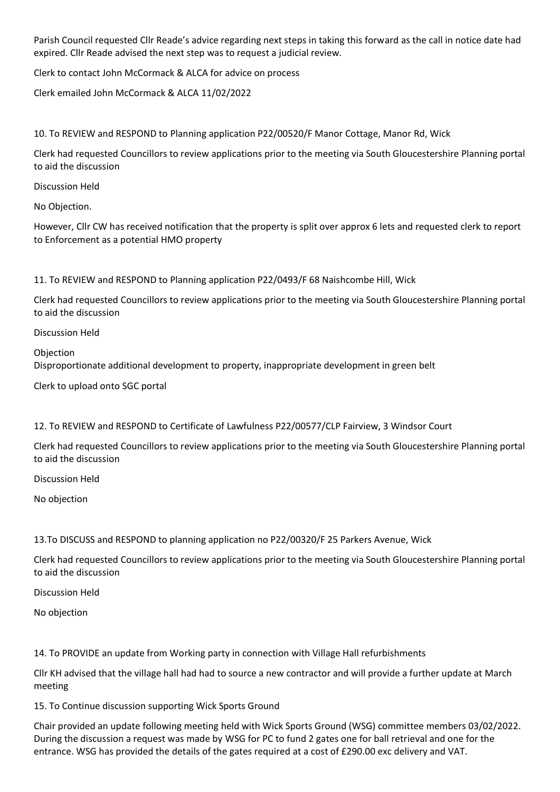Parish Council requested Cllr Reade's advice regarding next steps in taking this forward as the call in notice date had expired. Cllr Reade advised the next step was to request a judicial review.

Clerk to contact John McCormack & ALCA for advice on process

Clerk emailed John McCormack & ALCA 11/02/2022

10. To REVIEW and RESPOND to Planning application P22/00520/F Manor Cottage, Manor Rd, Wick

Clerk had requested Councillors to review applications prior to the meeting via South Gloucestershire Planning portal to aid the discussion

Discussion Held

No Objection.

However, Cllr CW has received notification that the property is split over approx 6 lets and requested clerk to report to Enforcement as a potential HMO property

11. To REVIEW and RESPOND to Planning application P22/0493/F 68 Naishcombe Hill, Wick

Clerk had requested Councillors to review applications prior to the meeting via South Gloucestershire Planning portal to aid the discussion

Discussion Held

Objection Disproportionate additional development to property, inappropriate development in green belt

Clerk to upload onto SGC portal

12. To REVIEW and RESPOND to Certificate of Lawfulness P22/00577/CLP Fairview, 3 Windsor Court

Clerk had requested Councillors to review applications prior to the meeting via South Gloucestershire Planning portal to aid the discussion

Discussion Held

No objection

13.To DISCUSS and RESPOND to planning application no P22/00320/F 25 Parkers Avenue, Wick

Clerk had requested Councillors to review applications prior to the meeting via South Gloucestershire Planning portal to aid the discussion

Discussion Held

No objection

14. To PROVIDE an update from Working party in connection with Village Hall refurbishments

Cllr KH advised that the village hall had had to source a new contractor and will provide a further update at March meeting

15. To Continue discussion supporting Wick Sports Ground

Chair provided an update following meeting held with Wick Sports Ground (WSG) committee members 03/02/2022. During the discussion a request was made by WSG for PC to fund 2 gates one for ball retrieval and one for the entrance. WSG has provided the details of the gates required at a cost of £290.00 exc delivery and VAT.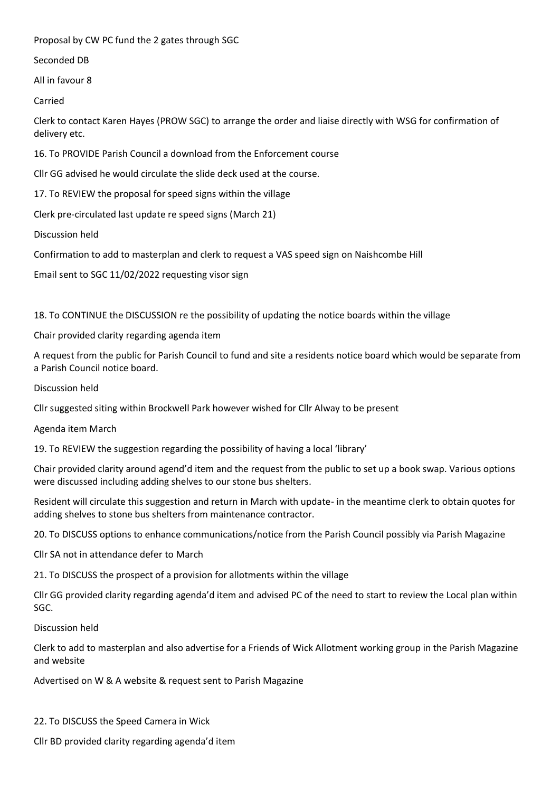Proposal by CW PC fund the 2 gates through SGC

Seconded DB

All in favour 8

Carried

Clerk to contact Karen Hayes (PROW SGC) to arrange the order and liaise directly with WSG for confirmation of delivery etc.

16. To PROVIDE Parish Council a download from the Enforcement course

Cllr GG advised he would circulate the slide deck used at the course.

17. To REVIEW the proposal for speed signs within the village

Clerk pre-circulated last update re speed signs (March 21)

Discussion held

Confirmation to add to masterplan and clerk to request a VAS speed sign on Naishcombe Hill

Email sent to SGC 11/02/2022 requesting visor sign

18. To CONTINUE the DISCUSSION re the possibility of updating the notice boards within the village

Chair provided clarity regarding agenda item

A request from the public for Parish Council to fund and site a residents notice board which would be separate from a Parish Council notice board.

Discussion held

Cllr suggested siting within Brockwell Park however wished for Cllr Alway to be present

Agenda item March

19. To REVIEW the suggestion regarding the possibility of having a local 'library'

Chair provided clarity around agend'd item and the request from the public to set up a book swap. Various options were discussed including adding shelves to our stone bus shelters.

Resident will circulate this suggestion and return in March with update- in the meantime clerk to obtain quotes for adding shelves to stone bus shelters from maintenance contractor.

20. To DISCUSS options to enhance communications/notice from the Parish Council possibly via Parish Magazine

Cllr SA not in attendance defer to March

21. To DISCUSS the prospect of a provision for allotments within the village

Cllr GG provided clarity regarding agenda'd item and advised PC of the need to start to review the Local plan within SGC.

Discussion held

Clerk to add to masterplan and also advertise for a Friends of Wick Allotment working group in the Parish Magazine and website

Advertised on W & A website & request sent to Parish Magazine

22. To DISCUSS the Speed Camera in Wick

Cllr BD provided clarity regarding agenda'd item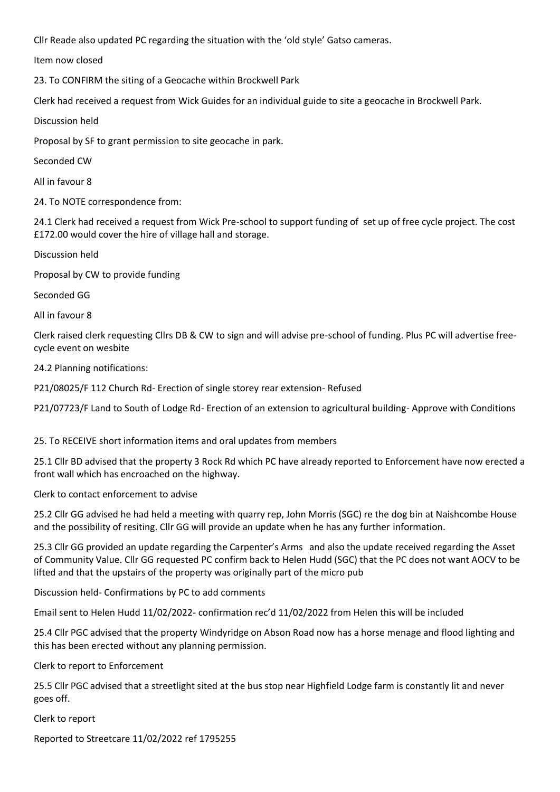Cllr Reade also updated PC regarding the situation with the 'old style' Gatso cameras.

Item now closed

23. To CONFIRM the siting of a Geocache within Brockwell Park

Clerk had received a request from Wick Guides for an individual guide to site a geocache in Brockwell Park.

Discussion held

Proposal by SF to grant permission to site geocache in park.

Seconded CW

All in favour 8

24. To NOTE correspondence from:

24.1 Clerk had received a request from Wick Pre-school to support funding of set up of free cycle project. The cost £172.00 would cover the hire of village hall and storage.

Discussion held

Proposal by CW to provide funding

Seconded GG

All in favour 8

Clerk raised clerk requesting Cllrs DB & CW to sign and will advise pre-school of funding. Plus PC will advertise freecycle event on wesbite

24.2 Planning notifications:

P21/08025/F 112 Church Rd- Erection of single storey rear extension- Refused

P21/07723/F Land to South of Lodge Rd- Erection of an extension to agricultural building- Approve with Conditions

25. To RECEIVE short information items and oral updates from members

25.1 Cllr BD advised that the property 3 Rock Rd which PC have already reported to Enforcement have now erected a front wall which has encroached on the highway.

Clerk to contact enforcement to advise

25.2 Cllr GG advised he had held a meeting with quarry rep, John Morris (SGC) re the dog bin at Naishcombe House and the possibility of resiting. Cllr GG will provide an update when he has any further information.

25.3 Cllr GG provided an update regarding the Carpenter's Arms and also the update received regarding the Asset of Community Value. Cllr GG requested PC confirm back to Helen Hudd (SGC) that the PC does not want AOCV to be lifted and that the upstairs of the property was originally part of the micro pub

Discussion held- Confirmations by PC to add comments

Email sent to Helen Hudd 11/02/2022- confirmation rec'd 11/02/2022 from Helen this will be included

25.4 Cllr PGC advised that the property Windyridge on Abson Road now has a horse menage and flood lighting and this has been erected without any planning permission.

Clerk to report to Enforcement

25.5 Cllr PGC advised that a streetlight sited at the bus stop near Highfield Lodge farm is constantly lit and never goes off.

Clerk to report

Reported to Streetcare 11/02/2022 ref 1795255